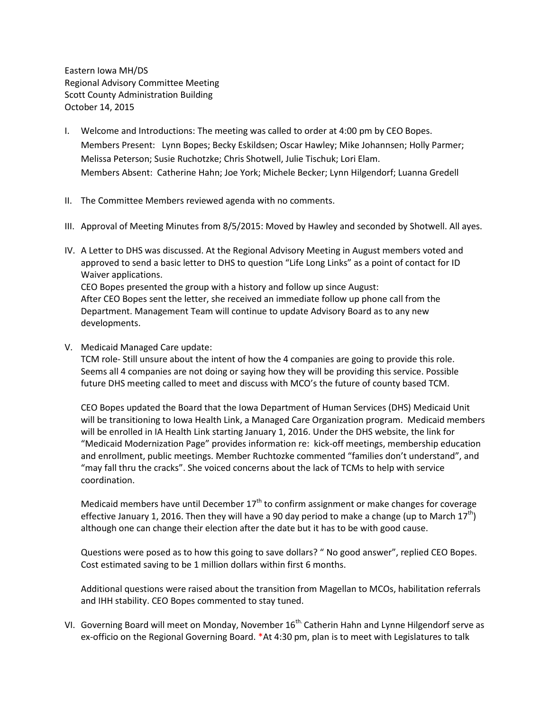Eastern Iowa MH/DS Regional Advisory Committee Meeting Scott County Administration Building October 14, 2015

- I. Welcome and Introductions: The meeting was called to order at 4:00 pm by CEO Bopes. Members Present: Lynn Bopes; Becky Eskildsen; Oscar Hawley; Mike Johannsen; Holly Parmer; Melissa Peterson; Susie Ruchotzke; Chris Shotwell, Julie Tischuk; Lori Elam. Members Absent: Catherine Hahn; Joe York; Michele Becker; Lynn Hilgendorf; Luanna Gredell
- II. The Committee Members reviewed agenda with no comments.
- III. Approval of Meeting Minutes from 8/5/2015: Moved by Hawley and seconded by Shotwell. All ayes.
- IV. A Letter to DHS was discussed. At the Regional Advisory Meeting in August members voted and approved to send a basic letter to DHS to question "Life Long Links" as a point of contact for ID Waiver applications. CEO Bopes presented the group with a history and follow up since August: After CEO Bopes sent the letter, she received an immediate follow up phone call from the

Department. Management Team will continue to update Advisory Board as to any new developments.

V. Medicaid Managed Care update:

TCM role- Still unsure about the intent of how the 4 companies are going to provide this role. Seems all 4 companies are not doing or saying how they will be providing this service. Possible future DHS meeting called to meet and discuss with MCO's the future of county based TCM.

CEO Bopes updated the Board that the Iowa Department of Human Services (DHS) Medicaid Unit will be transitioning to Iowa Health Link, a Managed Care Organization program. Medicaid members will be enrolled in IA Health Link starting January 1, 2016. Under the DHS website, the link for "Medicaid Modernization Page" provides information re: kick-off meetings, membership education and enrollment, public meetings. Member Ruchtozke commented "families don't understand", and "may fall thru the cracks". She voiced concerns about the lack of TCMs to help with service coordination.

Medicaid members have until December  $17<sup>th</sup>$  to confirm assignment or make changes for coverage effective January 1, 2016. Then they will have a 90 day period to make a change (up to March  $17^{th}$ ) although one can change their election after the date but it has to be with good cause.

Questions were posed as to how this going to save dollars? " No good answer", replied CEO Bopes. Cost estimated saving to be 1 million dollars within first 6 months.

Additional questions were raised about the transition from Magellan to MCOs, habilitation referrals and IHH stability. CEO Bopes commented to stay tuned.

VI. Governing Board will meet on Monday, November 16<sup>th.</sup> Catherin Hahn and Lynne Hilgendorf serve as ex-officio on the Regional Governing Board. \*At 4:30 pm, plan is to meet with Legislatures to talk